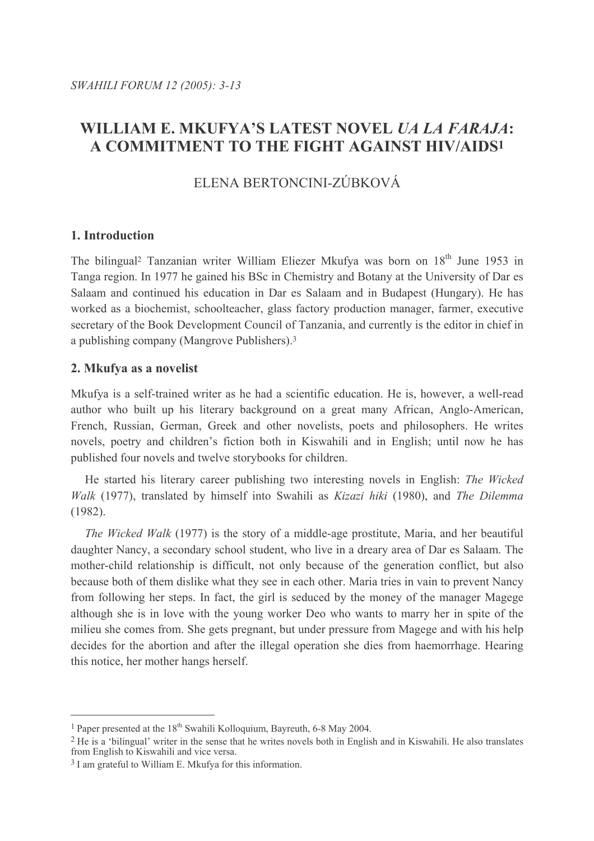# WILLIAM E. MKUFYA'S LATEST NOVEL *UA LA FARAJA*: A COMMITMENT TO THE FIGHT AGAINST HIV/AIDS1

# ELENA BERTONCINI-ZÚBKOVÁ

# 1. Introduction

The bilingual<sup>2</sup> Tanzanian writer William Eliezer Mkufya was born on 18<sup>th</sup> June 1953 in Tanga region. In 1977 he gained his BSc in Chemistry and Botany at the University of Dar es Salaam and continued his education in Dar es Salaam and in Budapest (Hungary). He has worked as a biochemist, schoolteacher, glass factory production manager, farmer, executive secretary of the Book Development Council of Tanzania, and currently is the editor in chief in a publishing company (Mangrove Publishers).<sup>3</sup>

# 2. Mkufya as a novelist

Mkufya is a self-trained writer as he had a scientific education. He is, however, a well-read author who built up his literary background on a great many African, Anglo-American, French, Russian, German, Greek and other novelists, poets and philosophers. He writes novels, poetry and children's fiction both in Kiswahili and in English; until now he has published four novels and twelve storybooks for children.

He started his literary career publishing two interesting novels in English: The Wicked Walk (1977), translated by himself into Swahili as Kizazi hiki (1980), and The Dilemma  $(1982)$ .

*The Wicked Walk* (1977) is the story of a middle-age prostitute, Maria, and her beautiful daughter Nancy, a secondary school student, who live in a dreary area of Dar es Salaam. The mother-child relationship is difficult, not only because of the generation conflict, but also because both of them dislike what they see in each other. Maria tries in vain to prevent Nancy from following her steps. In fact, the girl is seduced by the money of the manager Magege although she is in love with the young worker Deo who wants to marry her in spite of the milieu she comes from. She gets pregnant, but under pressure from Magege and with his help decides for the abortion and after the illegal operation she dies from haemorrhage. Hearing this notice, her mother hangs herself.

<sup>&</sup>lt;sup>1</sup> Paper presented at the 18<sup>th</sup> Swahili Kolloquium. Bayreuth, 6-8 May 2004.

<sup>&</sup>lt;sup>2</sup> He is a 'bilingual' writer in the sense that he writes novels both in English and in Kiswahili. He also translates from English to Kiswahili and vice versa.

 $3$  I am grateful to William E. Mkufya for this information.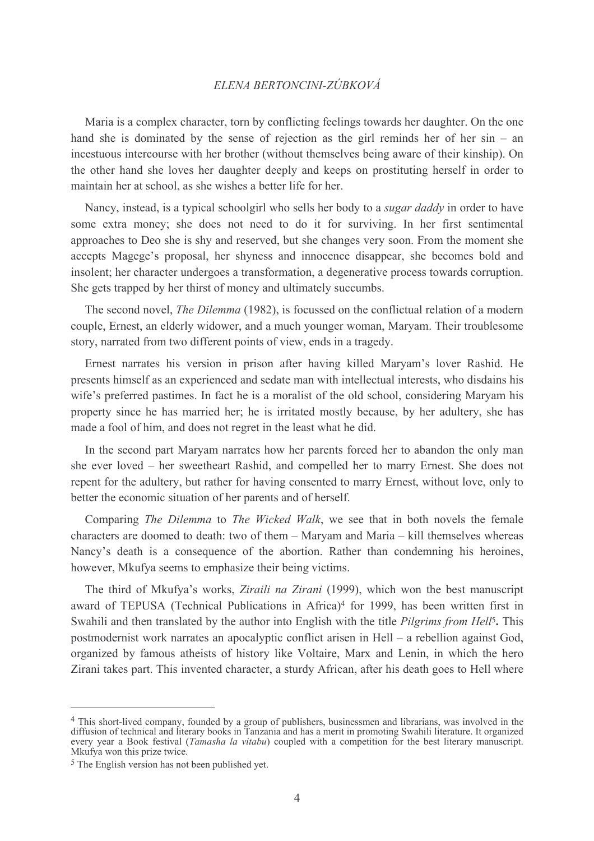Maria is a complex character, torn by conflicting feelings towards her daughter. On the one hand she is dominated by the sense of rejection as the girl reminds her of her  $sin - an$ incestuous intercourse with her brother (without themselves being aware of their kinship). On the other hand she loves her daughter deeply and keeps on prostituting herself in order to maintain her at school, as she wishes a better life for her.

Nancy, instead, is a typical schoolgirl who sells her body to a *sugar daddy* in order to have some extra money; she does not need to do it for surviving. In her first sentimental approaches to Deo she is shy and reserved, but she changes very soon. From the moment she accepts Magege's proposal, her shyness and innocence disappear, she becomes bold and insolent; her character undergoes a transformation, a degenerative process towards corruption. She gets trapped by her thirst of money and ultimately succumbs.

The second novel, *The Dilemma* (1982), is focussed on the conflictual relation of a modern couple. Ernest, an elderly widower, and a much younger woman. Maryam. Their troublesome story, narrated from two different points of view, ends in a tragedy.

Ernest narrates his version in prison after having killed Maryam's lover Rashid. He presents himself as an experienced and sedate man with intellectual interests, who disdains his wife's preferred pastimes. In fact he is a moralist of the old school, considering Maryam his property since he has married her; he is irritated mostly because, by her adultery, she has made a fool of him, and does not regret in the least what he did.

In the second part Maryam narrates how her parents forced her to abandon the only man she ever loved – her sweetheart Rashid, and compelled her to marry Ernest. She does not repent for the adultery, but rather for having consented to marry Ernest, without love, only to better the economic situation of her parents and of herself.

Comparing The Dilemma to The Wicked Walk, we see that in both novels the female characters are doomed to death: two of them - Maryam and Maria - kill themselves whereas Nancy's death is a consequence of the abortion. Rather than condemning his heroines, however, Mkufya seems to emphasize their being victims.

The third of Mkufya's works, Ziraili na Zirani (1999), which won the best manuscript award of TEPUSA (Technical Publications in Africa)<sup>4</sup> for 1999, has been written first in Swahili and then translated by the author into English with the title *Pilgrims from Hell*<sup>5</sup>. This postmodernist work narrates an apocalyptic conflict arisen in Hell – a rebellion against God, organized by famous atheists of history like Voltaire, Marx and Lenin, in which the hero Zirani takes part. This invented character, a sturdy African, after his death goes to Hell where

<sup>&</sup>lt;sup>4</sup> This short-lived company, founded by a group of publishers, businessmen and librarians, was involved in the diffusion of technical and literary books in Tanzania and has a merit in promoting Swahili literature. It organized every year a Book festival (Tamasha la vitabu) coupled with a competition for the best literary manuscript. Mkufya won this prize twice.

 $5$  The English version has not been published yet.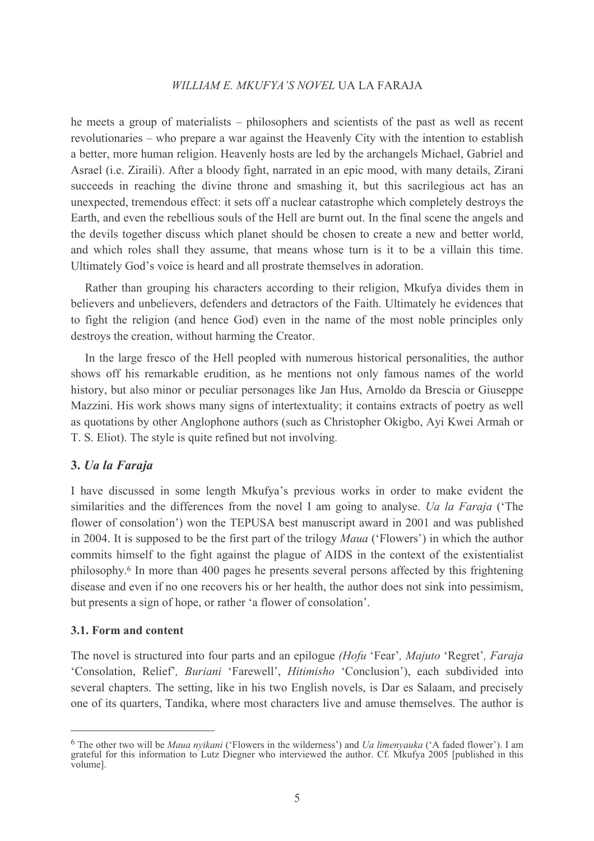he meets a group of materialists – philosophers and scientists of the past as well as recent revolutionaries – who prepare a war against the Heavenly City with the intention to establish a better, more human religion. Heavenly hosts are led by the archangels Michael, Gabriel and Asrael (*i.e. Ziraili*). After a bloody fight, narrated in an epic mood, with many details. Zirani succeeds in reaching the divine throne and smashing it, but this sacrilegious act has an unexpected, tremendous effect: it sets off a nuclear catastrophe which completely destroys the Earth, and even the rebellious souls of the Hell are burnt out. In the final scene the angels and the devils together discuss which planet should be chosen to create a new and better world, and which roles shall they assume, that means whose turn is it to be a villain this time. Ultimately God's voice is heard and all prostrate themselves in adoration.

Rather than grouping his characters according to their religion, Mkufya divides them in believers and unbelievers, defenders and detractors of the Faith. Ultimately he evidences that to fight the religion (and hence God) even in the name of the most noble principles only destroys the creation, without harming the Creator.

In the large fresco of the Hell peopled with numerous historical personalities, the author shows off his remarkable erudition, as he mentions not only famous names of the world history, but also minor or peculiar personages like Jan Hus, Arnoldo da Brescia or Giuseppe Mazzini. His work shows many signs of intertextuality; it contains extracts of poetry as well as quotations by other Anglophone authors (such as Christopher Okigbo, Ayi Kwei Armah or T. S. Eliot). The style is quite refined but not involving.

### 3. Ua la Faraja

I have discussed in some length Mkufya's previous works in order to make evident the similarities and the differences from the novel I am going to analyse. *Ua la Faraja* (The flower of consolation') won the TEPUSA best manuscript award in 2001 and was published in 2004. It is supposed to be the first part of the trilogy *Maua* ('Flowers') in which the author commits himself to the fight against the plague of AIDS in the context of the existentialist philosophy.<sup>6</sup> In more than 400 pages he presents several persons affected by this frightening disease and even if no one recovers his or her health, the author does not sink into pessimism, but presents a sign of hope, or rather 'a flower of consolation'.

### 3.1. Form and content

The novel is structured into four parts and an epilogue (Hofu 'Fear', Majuto 'Regret', Faraja 'Consolation, Relief', Buriani 'Farewell', Hitimisho 'Conclusion'), each subdivided into several chapters. The setting, like in his two English novels, is Dar es Salaam, and precisely one of its quarters, Tandika, where most characters live and amuse themselves. The author is

 $6$  The other two will be *Maua nyikani* ('Flowers in the wilderness') and *Ua limenyauka* ('A faded flower'). I am grateful for this information to Lutz Diegner who interviewed the author. Cf. Mkufya 2005 [published in this volume].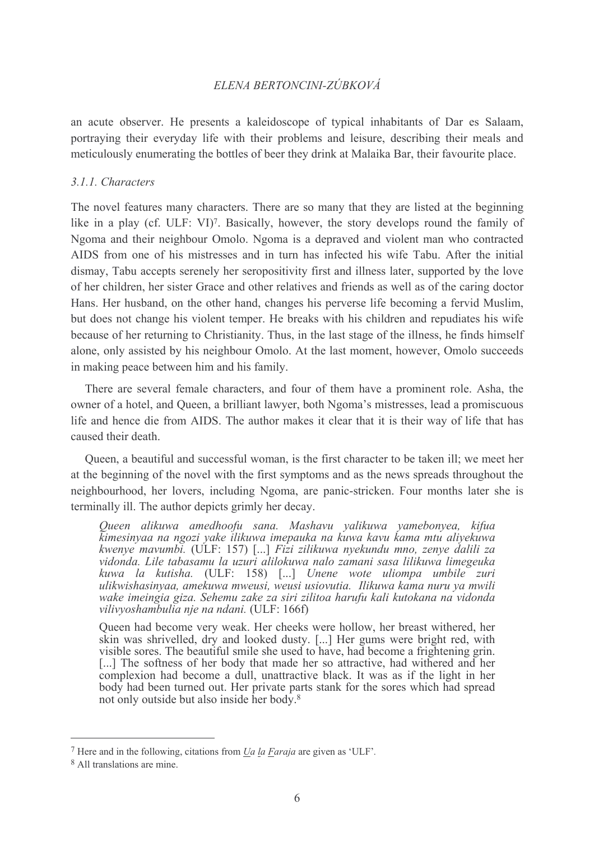an acute observer. He presents a kaleidoscope of typical inhabitants of Dar es Salaam, portraying their everyday life with their problems and leisure, describing their meals and meticulously enumerating the bottles of beer they drink at Malaika Bar, their favourite place.

#### 3.1.1. Characters

The novel features many characters. There are so many that they are listed at the beginning like in a play (cf. ULF: VI)<sup>7</sup>. Basically, however, the story develops round the family of Ngoma and their neighbour Omolo. Ngoma is a depraved and violent man who contracted AIDS from one of his mistresses and in turn has infected his wife Tabu. After the initial dismay. Tabu accepts serenely her seropositivity first and illness later, supported by the love of her children, her sister Grace and other relatives and friends as well as of the caring doctor Hans. Her husband, on the other hand, changes his perverse life becoming a fervid Muslim, but does not change his violent temper. He breaks with his children and repudiates his wife because of her returning to Christianity. Thus, in the last stage of the illness, he finds himself alone, only assisted by his neighbour Omolo. At the last moment, however, Omolo succeeds in making peace between him and his family.

There are several female characters, and four of them have a prominent role. Asha, the owner of a hotel, and Queen, a brilliant lawyer, both Ngoma's mistresses, lead a promiscuous life and hence die from AIDS. The author makes it clear that it is their way of life that has caused their death

Queen, a beautiful and successful woman, is the first character to be taken ill; we meet her at the beginning of the novel with the first symptoms and as the news spreads throughout the neighbourhood, her lovers, including Ngoma, are panic-stricken. Four months later she is terminally ill. The author depicts grimly her decay.

Queen alikuwa amedhoofu sana. Mashavu yalikuwa yamebonyea, kifua kimesinyaa na ngozi yake ilikuwa imepauka na kuwa kavu kama mtu aliyekuwa kwenye mavumbi. (ULF: 157) [...] Fizi zilikuwa nyekundu mno, zenye dalili za vidonda. Lile tabasamu la uzuri alilokuwa nalo zamani sasa lilikuwa limegeuka kuwa la kutisha. (ULF: 158) [...] Unene wote uliompa umbile zuri ulikwishasinyaa, amekuwa mweusi, weusi usiovutia. Ilikuwa kama nuru ya mwili wake imeingia giza. Sehemu zake za siri zilitoa harufu kali kutokana na vidonda vilivyoshambulia nje na ndani. (ULF: 166f)

Queen had become very weak. Her cheeks were hollow, her breast withered, her skin was shrivelled, dry and looked dusty. [...] Her gums were bright red, with visible sores. The beautiful smile she used to have, had become a frightening grin. [...] The softness of her body that made her so attractive, had withered and her complexion had become a dull, unattractive black. It was as if the light in her body had been turned out. Her private parts stank for the sores which had spread not only outside but also inside her body.<sup>8</sup>

 $7$  Here and in the following, citations from *Ua la Faraja* are given as 'ULF'.

<sup>&</sup>lt;sup>8</sup> All translations are mine.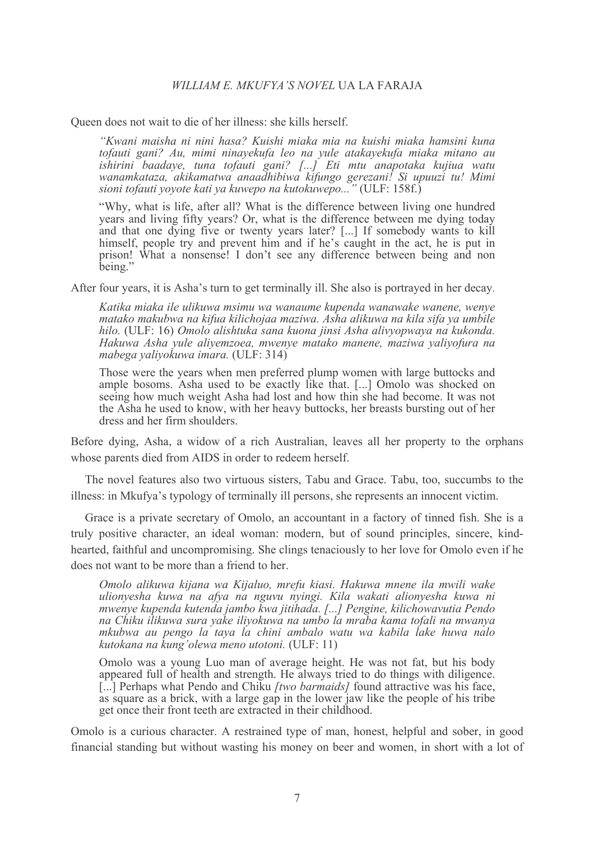Oueen does not wait to die of her illness: she kills herself.

"Kwani maisha ni nini hasa? Kuishi miaka mia na kuishi miaka hamsini kuna tofauti gani? Au, mimi ninayekufa leo na yule atakayekufa miaka mitano au ishirini baadaye, tuna tofauti gani? [...] Eti mtu anapotaka kujiua watu wanamkataza, akikamatwa anaadhibiwa kifungo gerezani! Si upuuzi tu! Mimi sioni tofauti yoyote kati ya kuwepo na kutokuwepo..." (ULF: 158f.)

"Why, what is life, after all? What is the difference between living one hundred years and living fifty years? Or, what is the difference between me dying today and that one dying five or twenty years later? [...] If somebody wants to kill himself, people try and prevent him and if he's caught in the act, he is put in prison! What a nonsense! I don't see any difference between being and non being."

After four years, it is Asha's turn to get terminally ill. She also is portrayed in her decay.

Katika miaka ile ulikuwa msimu wa wanaume kupenda wanawake wanene, wenye matako makubwa na kifua kilichojaa maziwa. Asha alikuwa na kila sifa ya umbile hilo. (ULF: 16) Omolo alishtuka sana kuona jinsi Asha alivyopwaya na kukonda. Hakuwa Asha yule aliyemzoea, mwenye matako manene, maziwa yaliyofura na mabega yaliyokuwa imara. (ULF: 314)

Those were the years when men preferred plump women with large buttocks and ample bosoms. Asha used to be exactly like that. [...] Omolo was shocked on seeing how much weight Asha had lost and how thin she had become. It was not the Asha he used to know, with her heavy buttocks, her breasts bursting out of her dress and her firm shoulders.

Before dying, Asha, a widow of a rich Australian, leaves all her property to the orphans whose parents died from AIDS in order to redeem herself.

The novel features also two virtuous sisters, Tabu and Grace. Tabu, too, succumbs to the illness: in Mkufya's typology of terminally ill persons, she represents an innocent victim.

Grace is a private secretary of Omolo, an accountant in a factory of tinned fish. She is a truly positive character, an ideal woman: modern, but of sound principles, sincere, kindhearted, faithful and uncompromising. She clings tenaciously to her love for Omolo even if he does not want to be more than a friend to her

Omolo alikuwa kijana wa Kijaluo, mrefu kiasi. Hakuwa mnene ila mwili wake ulionyesha kuwa na afya na nguvu nyingi. Kila wakati alionyesha kuwa ni mwenye kupenda kutenda jambo kwa jitihada. [...] Pengine, kilichowavutia Pendo na Chiku ilikuwa sura yake iliyokuwa na umbo la mraba kama tofali na mwanya mkubwa au pengo la taya la chini ambalo watu wa kabila lake huwa nalo kutokana na kung'olewa meno utotoni. (ULF: 11)

Omolo was a young Luo man of average height. He was not fat, but his body appeared full of health and strength. He always tried to do things with diligence. [...] Perhaps what Pendo and Chiku [two barmaids] found attractive was his face, as square as a brick, with a large gap in the lower jaw like the people of his tribe get once their front teeth are extracted in their childhood.

Omolo is a curious character. A restrained type of man, honest, helpful and sober, in good financial standing but without wasting his money on beer and women, in short with a lot of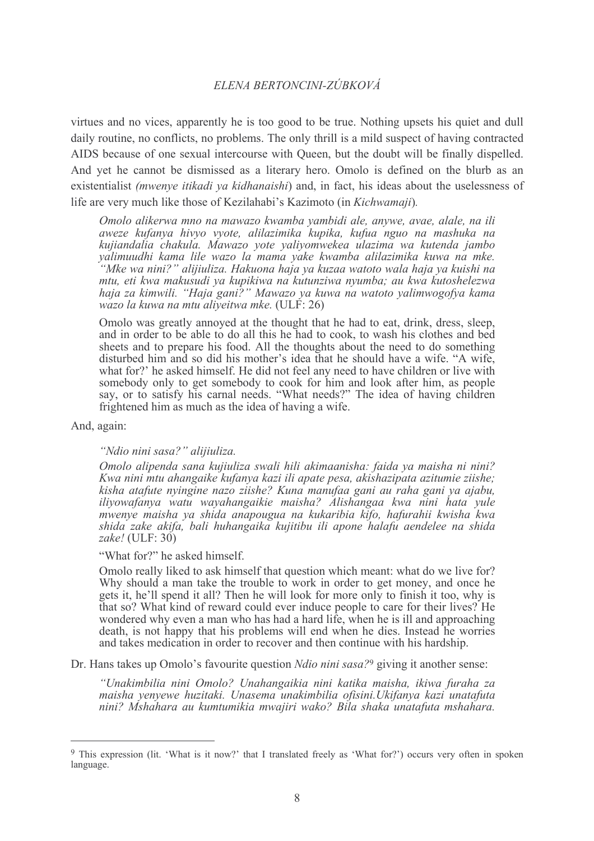virtues and no vices, apparently he is too good to be true. Nothing upsets his quiet and dull daily routine, no conflicts, no problems. The only thrill is a mild suspect of having contracted AIDS because of one sexual intercourse with Queen, but the doubt will be finally dispelled. And vet he cannot be dismissed as a literary hero. Omolo is defined on the blurb as an existentialist (mwenye itikadi ya kidhanaishi) and, in fact, his ideas about the uselessness of life are very much like those of Kezilahabi's Kazimoto (in Kichwamaji).

Omolo alikerwa mno na mawazo kwamba yambidi ale, anywe, avae, alale, na ili aweze kufanya hivyo vyote, alilazimika kupika, kufua nguo na mashuka na kujiandalia chakula. Mawazo yote yaliyomwekea ulazima wa kutenda jambo yalimuudhi kama lile wazo la mama yake kwamba alilazimika kuwa na mke. "Mke wa nini?" alijiuliza. Hakuona haja ya kuzaa watoto wala haja ya kuishi na mtu, eti kwa makusudi ya kupikiwa na kutunziwa nyumba; au kwa kutoshelezwa haja za kimwili. "Haja gani?" Mawazo ya kuwa na watoto yalimwogofya kama wazo la kuwa na mtu aliyeitwa mke. (ULF: 26)

Omolo was greatly annoved at the thought that he had to eat, drink, dress, sleep, and in order to be able to do all this he had to cook, to wash his clothes and bed sheets and to prepare his food. All the thoughts about the need to do something disturbed him and so did his mother's idea that he should have a wife. "A wife, what for?' he asked himself. He did not feel any need to have children or live with somebody only to get somebody to cook for him and look after him, as people say, or to satisfy his carnal needs. "What needs?" The idea of having children frightened him as much as the idea of having a wife.

And, again:

#### "Ndio nini sasa?" alijiuliza.

Omolo alipenda sana kujiuliza swali hili akimaanisha: faida ya maisha ni nini? Kwa nini mtu ahangaike kufanya kazi ili apate pesa, akishazipata azitumie ziishe; kisha atafute nyingine nazo ziishe? Kuna manufaa gani au raha gani ya ajabu, iliyowafanya watu wayahangaikie maisha? Alishangaa kwa nini hata yule mwenye maisha ya shida anapougua na kukaribia kifo, hafurahii kwisha kwa shida zake akifa, bali huhangaika kujitibu ili apone halafu aendelee na shida zake! (ULF:  $30$ )

#### "What for?" he asked himself.

Omolo really liked to ask himself that question which meant: what do we live for? Why should a man take the trouble to work in order to get money, and once he gets it, he'll spend it all? Then he will look for more only to finish it too, why is that so? What kind of reward could ever induce people to care for their lives? He wondered why even a man who has had a hard life, when he is ill and approaching death, is not happy that his problems will end when he dies. Instead he worries and takes medication in order to recover and then continue with his hardship.

Dr. Hans takes up Omolo's favourite question *Ndio nini sasa*?<sup>9</sup> giving it another sense:

"Unakimbilia nini Omolo? Unahangaikia nini katika maisha, ikiwa furaha za maisha venyewe huzitaki. Unasema unakimbilia ofisini.Ukifanya kazi unatafuta nini? Mshahara au kumtumikia mwajiri wako? Bila shaka unatafuta mshahara.

<sup>&</sup>lt;sup>9</sup> This expression (lit. 'What is it now?' that I translated freely as 'What for?') occurs very often in spoken language.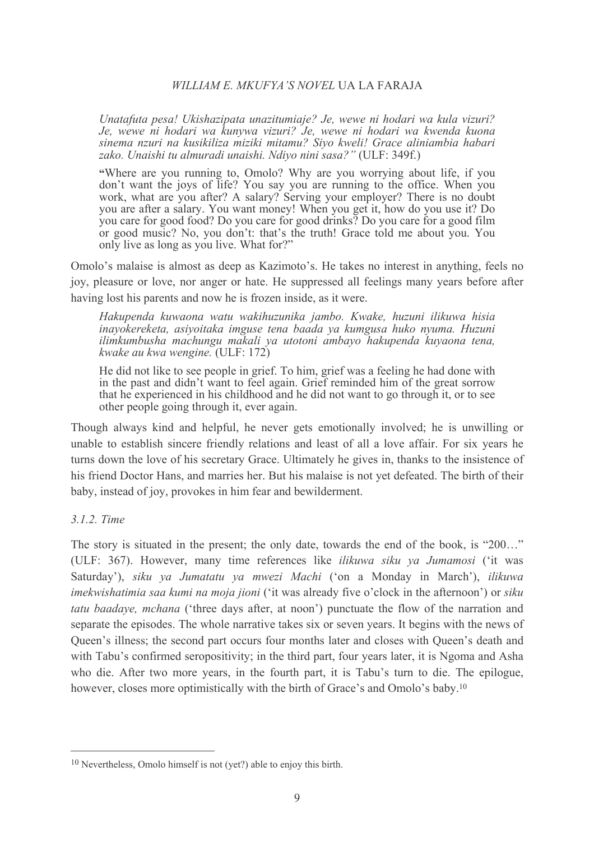Unatafuta pesa! Ukishazipata unazitumiaje? Je, wewe ni hodari wa kula vizuri? Je, wewe ni hodari wa kunywa vizuri? Je, wewe ni hodari wa kwenda kuona sinema nzuri na kusikiliza miziki mitamu? Siyo kweli! Grace aliniambia habari zako. Unaishi tu almuradi unaishi. Ndiyo nini sasa?" (ULF: 349f.)

"Where are you running to, Omolo? Why are you worrying about life, if you don't want the joys of life? You say you are running to the office. When you work, what are you after? A salary? Serving your employer? There is no doubt you are after a salary. You want money! When you get it, how do you use it? Do you care for good food? Do you care for good drinks? Do you care for a good film or good music? No, you don't: that's the truth! Grace told me about you. You only live as long as you live. What for?"

Omolo's malaise is almost as deep as Kazimoto's. He takes no interest in anything, feels no joy, pleasure or love, nor anger or hate. He suppressed all feelings many years before after having lost his parents and now he is frozen inside, as it were.

Hakupenda kuwaona watu wakihuzunika jambo. Kwake, huzuni ilikuwa hisia inayokereketa, asiyoitaka imguse tena baada ya kumgusa huko nyuma. Huzuni ilimkumbusha machungu makali ya utotoni ambayo hakupenda kuyaona tena, kwake au kwa wengine. (ULF: 172)

He did not like to see people in grief. To him, grief was a feeling he had done with in the past and didn't want to feel again. Grief reminded him of the great sorrow that he experienced in his childhood and he did not want to go through it, or to see other people going through it, ever again.

Though always kind and helpful, he never gets emotionally involved; he is unwilling or unable to establish sincere friendly relations and least of all a love affair. For six years he turns down the love of his secretary Grace. Ultimately he gives in, thanks to the insistence of his friend Doctor Hans, and marries her. But his malaise is not vet defeated. The birth of their baby, instead of joy, provokes in him fear and bewilderment.

### 3.1.2. Time

The story is situated in the present; the only date, towards the end of the book, is "200..." (ULF: 367). However, many time references like *ilikuwa siku ya Jumamosi* ('it was Saturday'), siku ya Jumatatu ya mwezi Machi ('on a Monday in March'), ilikuwa *imekwishatimia saa kumi na moja jioni* ('it was already five o'clock in the afternoon') or *siku tatu baadaye, mchana* ('three days after, at noon') punctuate the flow of the narration and separate the episodes. The whole narrative takes six or seven years. It begins with the news of Oueen's illness: the second part occurs four months later and closes with Oueen's death and with Tabu's confirmed seropositivity; in the third part, four years later, it is Ngoma and Asha who die. After two more years, in the fourth part, it is Tabu's turn to die. The epilogue, however, closes more optimistically with the birth of Grace's and Omolo's baby.<sup>10</sup>

 $10$  Nevertheless, Omolo himself is not (yet?) able to enjoy this birth.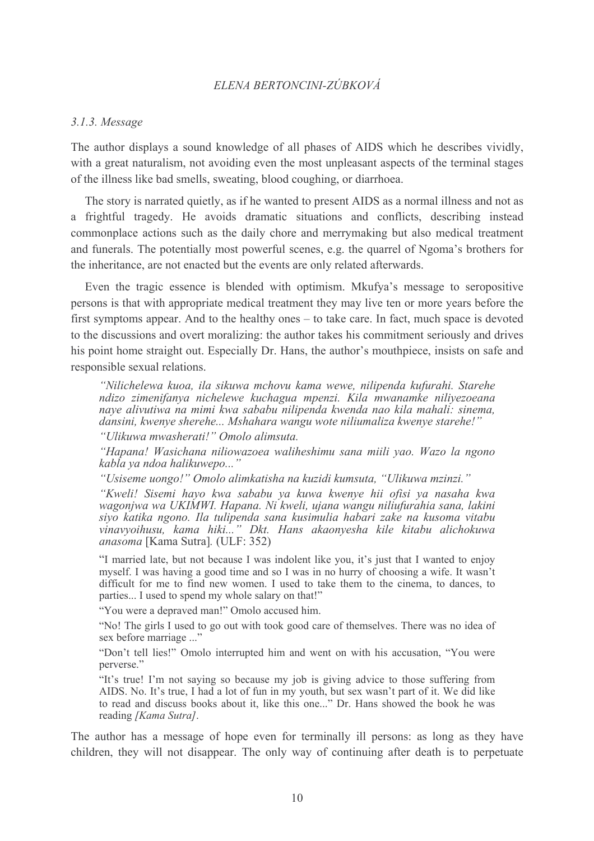#### $3.1.3.$  Message

The author displays a sound knowledge of all phases of AIDS which he describes vividly, with a great naturalism, not avoiding even the most unpleasant aspects of the terminal stages of the illness like bad smells, sweating, blood coughing, or diarrhoea.

The story is narrated quietly, as if he wanted to present AIDS as a normal illness and not as a frightful tragedy. He avoids dramatic situations and conflicts, describing instead commonplace actions such as the daily chore and merrymaking but also medical treatment and funerals. The potentially most powerful scenes, e.g. the quarrel of Ngoma's brothers for the inheritance, are not enacted but the events are only related afterwards.

Even the tragic essence is blended with optimism. Mkufya's message to seropositive persons is that with appropriate medical treatment they may live ten or more years before the first symptoms appear. And to the healthy ones – to take care. In fact, much space is devoted to the discussions and overt moralizing: the author takes his commitment seriously and drives his point home straight out. Especially Dr. Hans, the author's mouthpiece, insists on safe and responsible sexual relations.

"Nilichelewa kuoa, ila sikuwa mchovu kama wewe, nilipenda kufurahi. Starehe ndizo zimenifanya nichelewe kuchagua mpenzi. Kila mwanamke niliyezoeana naye alivutiwa na mimi kwa sababu nilipenda kwenda nao kila mahali: sinema, dansini, kwenye sherehe... Mshahara wangu wote niliumaliza kwenye starehe!"

"Ulikuwa mwasherati!" Omolo alimsuta.

"Hapana! Wasichana niliowazoea waliheshimu sana miili yao. Wazo la ngono kabla ya ndoa halikuwepo..."

"Usiseme uongo!" Omolo alimkatisha na kuzidi kumsuta, "Ulikuwa mzinzi."

"Kweli! Sisemi hayo kwa sababu ya kuwa kwenye hii ofisi ya nasaha kwa wagonjwa wa UKIMWI. Hapana. Ni kweli, ujana wangu niliufurahia sana, lakini siyo katika ngono. Ila tulipenda sana kusimulia habari zake na kusoma vitabu vinavyoihusu, kama hiki..." Dkt. Hans akaonyesha kile kitabu alichokuwa *anasoma* [Kama Sutra]. (ULF: 352)

"I married late, but not because I was indolent like you, it's just that I wanted to enjoy myself. I was having a good time and so I was in no hurry of choosing a wife. It wasn't difficult for me to find new women. I used to take them to the cinema, to dances, to parties... I used to spend my whole salary on that!"

"You were a depraved man!" Omolo accused him.

"No! The girls I used to go out with took good care of themselves. There was no idea of sex before marriage ..."

"Don't tell lies!" Omolo interrupted him and went on with his accusation. "You were nerverse"

"It's true! I'm not saying so because my job is giving advice to those suffering from AIDS. No. It's true, I had a lot of fun in my youth, but sex wasn't part of it. We did like to read and discuss books about it, like this one..." Dr. Hans showed the book he was reading [Kama Sutra].

The author has a message of hope even for terminally ill persons: as long as they have children, they will not disappear. The only way of continuing after death is to perpetuate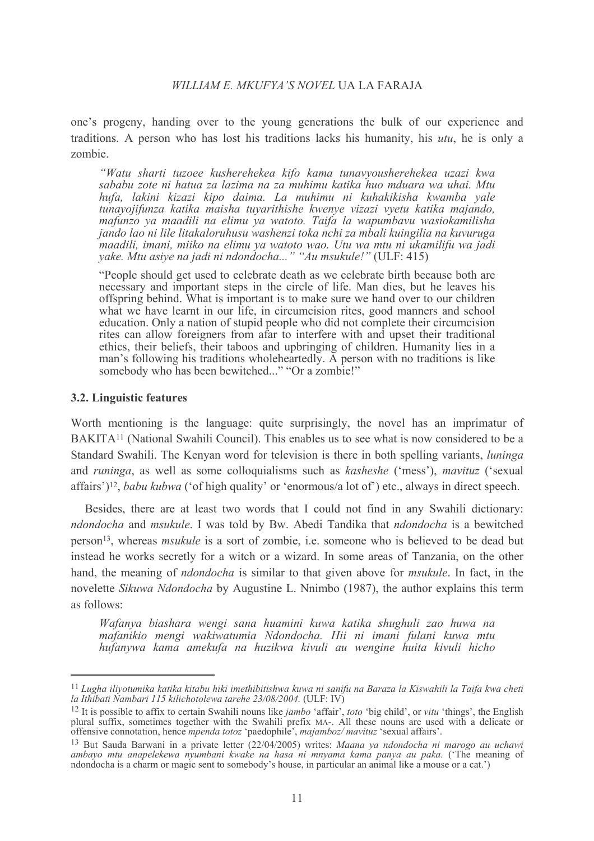one's progeny, handing over to the young generations the bulk of our experience and traditions. A person who has lost his traditions lacks his humanity, his *utu*, he is only a zombie.

"Watu sharti tuzoee kusherehekea kifo kama tunavyousherehekea uzazi kwa sababu zote ni hatua za lazima na za muhimu katika huo mduara wa uhai. Mtu hufa, lakini kizazi kipo daima. La muhimu ni kuhakikisha kwamba yale tunayojifunza katika maisha tuyarithishe kwenye vizazi vyetu katika majando, mafunzo ya maadili na elimu ya watoto. Taifa la wapumbayu wasiokamilisha jando lao ni lile litakaloruhusu washenzi toka nchi za mbali kuingilia na kuvuruga maadili, imani, miiko na elimu ya watoto wao. Utu wa mtu ni ukamilifu wa jadi yake. Mtu asiye na jadi ni ndondocha..." "Au msukule!" (ULF: 415)

"People should get used to celebrate death as we celebrate birth because both are necessary and important steps in the circle of life. Man dies, but he leaves his offspring behind. What is important is to make sure we hand over to our children what we have learnt in our life, in circumcision rites, good manners and school education. Only a nation of stupid people who did not complete their circumcision rites can allow foreigners from a far to interfere with and upset their traditional ethics, their beliefs, their taboos and upbringing of children. Humanity lies in a man's following his traditions wholeheartedly. A person with no traditions is like somebody who has been bewitched..." "Or a zombie!"

### 3.2. Linguistic features

Worth mentioning is the language: quite surprisingly, the novel has an imprimatur of BAKITA<sup>11</sup> (National Swahili Council). This enables us to see what is now considered to be a Standard Swahili. The Kenvan word for television is there in both spelling variants, *luninga* and *runinga*, as well as some colloquialisms such as *kasheshe* ('mess'), *mavituz* ('sexual affairs')<sup>12</sup>, *babu kubwa* ('of high quality' or 'enormous/a lot of') etc., always in direct speech.

Besides, there are at least two words that I could not find in any Swahili dictionary: ndondocha and msukule. I was told by Bw. Abedi Tandika that ndondocha is a bewitched person<sup>13</sup>, whereas *msukule* is a sort of zombie, i.e. someone who is believed to be dead but instead he works secretly for a witch or a wizard. In some areas of Tanzania, on the other hand, the meaning of *ndondocha* is similar to that given above for *msukule*. In fact, in the novelette Sikuwa Ndondocha by Augustine L. Nnimbo (1987), the author explains this term as follows:

Wafanya biashara wengi sana huamini kuwa katika shughuli zao huwa na mafanikio mengi wakiwatumia Ndondocha. Hii ni imani fulani kuwa mtu hufanywa kama amekufa na huzikwa kivuli au wengine huita kivuli hicho

<sup>&</sup>lt;sup>11</sup> Lugha iliyotumika katika kitabu hiki imethibitishwa kuwa ni sanifu na Baraza la Kiswahili la Taifa kwa cheti la Ithibati Nambari 115 kilichotolewa tarehe 23/08/2004. (ULF: IV)

<sup>&</sup>lt;sup>12</sup> It is possible to affix to certain Swahili nouns like *jambo* 'affair', *toto* 'big child', or *vitu* 'things', the English plural suffix, sometimes together with the Swahili prefix MA-. All these nouns are used with

<sup>&</sup>lt;sup>13</sup> But Sauda Barwani in a private letter (22/04/2005) writes: Maana ya ndondocha ni marogo au uchawi ambayo mtu anapelekewa nyumbani kwake na hasa ni mnyama kama panya au paka. ('The meaning of ndondocha is a charm or magic sent to somebody's house, in particular an animal like a mouse or a cat.')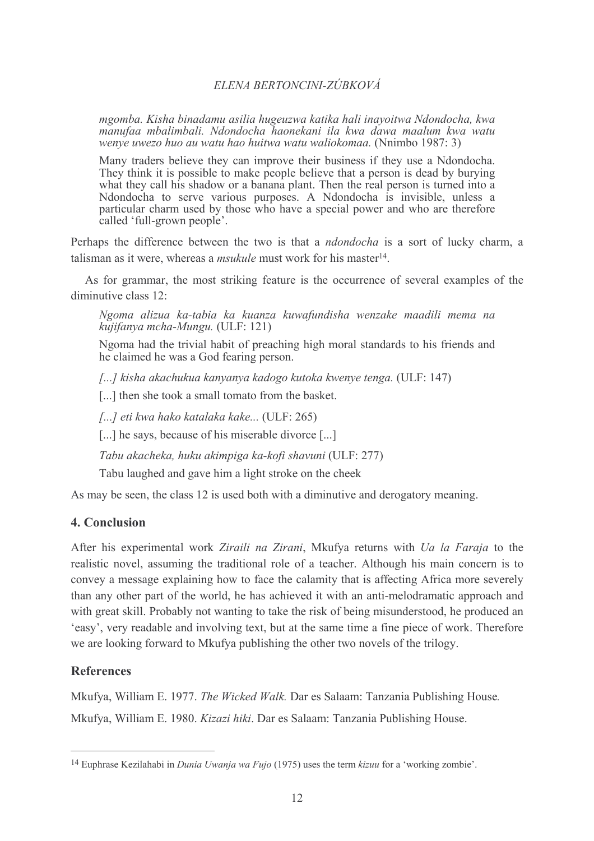mgomba. Kisha binadamu asilia hugeuzwa katika hali inavoitwa Ndondocha, kwa manufaa mbalimbali. Ndondocha haonekani ila kwa dawa maalum kwa watu wenye uwezo huo au watu hao huitwa watu waliokomaa. (Nnimbo 1987: 3)

Many traders believe they can improve their business if they use a Ndondocha. They think it is possible to make people believe that a person is dead by burying what they call his shadow or a banana plant. Then the real person is turned into a Ndondocha to serve various purposes. A Ndondocha is invisible, unless a particular charm used by those who have a special power and who are therefore called 'full-grown people'.

Perhaps the difference between the two is that a *ndondocha* is a sort of lucky charm, a talisman as it were, whereas a *msukule* must work for his master<sup>14</sup>.

As for grammar, the most striking feature is the occurrence of several examples of the diminutive class  $12<sup>1</sup>$ 

Ngoma alizua ka-tabia ka kuanza kuwafundisha wenzake maadili mema na kujifanya mcha-Mungu. (ULF: 121)

Ngoma had the trivial habit of preaching high moral standards to his friends and he claimed he was a God fearing person.

[...] kisha akachukua kanyanya kadogo kutoka kwenye tenga. (ULF: 147)

[...] then she took a small tomato from the basket.

[...] eti kwa hako katalaka kake... (ULF: 265)

[...] he says, because of his miserable divorce [...]

Tabu akacheka, huku akimpiga ka-kofi shavuni (ULF: 277)

Tabu laughed and gave him a light stroke on the cheek

As may be seen, the class 12 is used both with a diminutive and derogatory meaning.

# 4. Conclusion

After his experimental work Ziraili na Zirani, Mkufya returns with Ua la Faraja to the realistic novel, assuming the traditional role of a teacher. Although his main concern is to convey a message explaining how to face the calamity that is affecting Africa more severely than any other part of the world, he has achieved it with an anti-melodramatic approach and with great skill. Probably not wanting to take the risk of being misunderstood, he produced an 'easy', very readable and involving text, but at the same time a fine piece of work. Therefore we are looking forward to Mkufya publishing the other two novels of the trilogy.

# **References**

Mkufya, William E. 1977. The Wicked Walk. Dar es Salaam: Tanzania Publishing House.

Mkufya, William E. 1980. Kizazi hiki. Dar es Salaam: Tanzania Publishing House.

<sup>&</sup>lt;sup>14</sup> Euphrase Kezilahabi in *Dunia Uwanja wa Fujo* (1975) uses the term *kizuu* for a 'working zombie'.